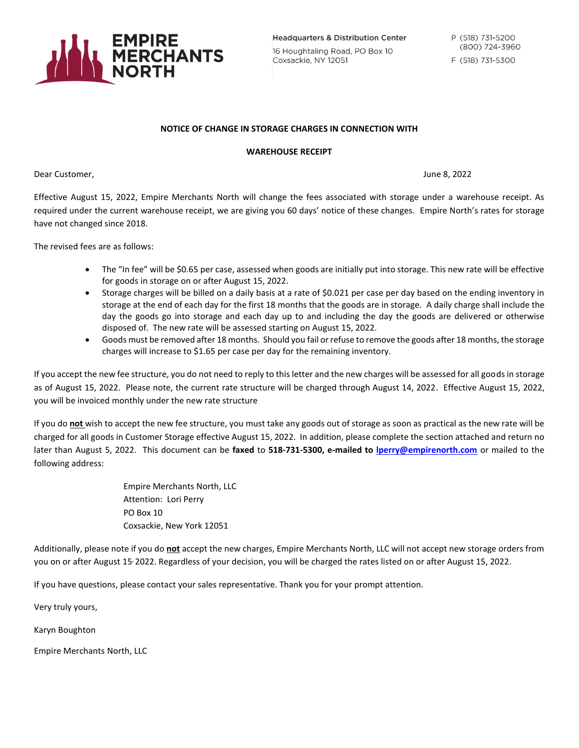

**Headquarters & Distribution Center** 16 Houghtaling Road, PO Box 10 Coxsackie, NY 12051

## **NOTICE OF CHANGE IN STORAGE CHARGES IN CONNECTION WITH**

## **WAREHOUSE RECEIPT**

Dear Customer, June 8, 2022

Effective August 15, 2022, Empire Merchants North will change the fees associated with storage under a warehouse receipt. As required under the current warehouse receipt, we are giving you 60 days' notice of these changes. Empire North's rates for storage have not changed since 2018.

The revised fees are as follows:

- The "In fee" will be \$0.65 per case, assessed when goods are initially put into storage. This new rate will be effective for goods in storage on or after August 15, 2022.
- Storage charges will be billed on a daily basis at a rate of \$0.021 per case per day based on the ending inventory in storage at the end of each day for the first 18 months that the goods are in storage. A daily charge shall include the day the goods go into storage and each day up to and including the day the goods are delivered or otherwise disposed of. The new rate will be assessed starting on August 15, 2022.
- Goods must be removed after 18 months. Should you fail or refuse to remove the goods after 18 months, the storage charges will increase to \$1.65 per case per day for the remaining inventory.

If you accept the new fee structure, you do not need to reply to this letter and the new charges will be assessed for all goods in storage as of August 15, 2022. Please note, the current rate structure will be charged through August 14, 2022. Effective August 15, 2022, you will be invoiced monthly under the new rate structure

If you do **not** wish to accept the new fee structure, you must take any goods out of storage as soon as practical as the new rate will be charged for all goods in Customer Storage effective August 15, 2022. In addition, please complete the section attached and return no later than August 5, 2022. This document can be **faxed** to **518-731-5300, e-mailed to [lperry@empirenorth.com](mailto:lperry@empirenorth.com)** or mailed to the following address:

> Empire Merchants North, LLC Attention: Lori Perry PO Box 10 Coxsackie, New York 12051

Additionally, please note if you do **not** accept the new charges, Empire Merchants North, LLC will not accept new storage orders from you on or after August 15, 2022. Regardless of your decision, you will be charged the rates listed on or after August 15, 2022.

If you have questions, please contact your sales representative. Thank you for your prompt attention.

Very truly yours,

Karyn Boughton

Empire Merchants North, LLC